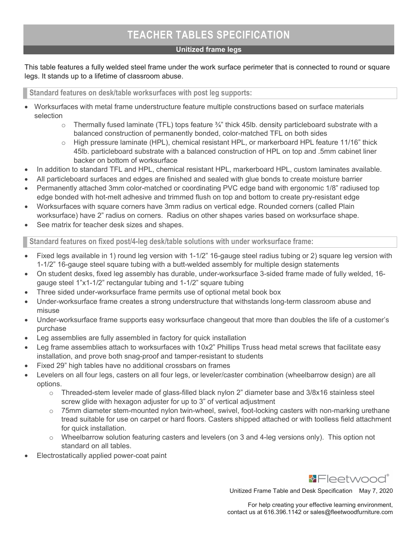# TEACHER TABLES SPECIFICATION

## Unitized frame legs

## This table features a fully welded steel frame under the work surface perimeter that is connected to round or square legs. It stands up to a lifetime of classroom abuse.

## Standard features on desk/table worksurfaces with post leg supports:

- Worksurfaces with metal frame understructure feature multiple constructions based on surface materials selection
	- $\circ$  Thermally fused laminate (TFL) tops feature  $\frac{3}{4}$ " thick 45lb. density particleboard substrate with a balanced construction of permanently bonded, color-matched TFL on both sides
	- $\circ$  High pressure laminate (HPL), chemical resistant HPL, or markerboard HPL feature 11/16" thick 45lb. particleboard substrate with a balanced construction of HPL on top and .5mm cabinet liner backer on bottom of worksurface
- In addition to standard TFL and HPL, chemical resistant HPL, markerboard HPL, custom laminates available.
- All particleboard surfaces and edges are finished and sealed with glue bonds to create moisture barrier
- Permanently attached 3mm color-matched or coordinating PVC edge band with ergonomic 1/8" radiused top edge bonded with hot-melt adhesive and trimmed flush on top and bottom to create pry-resistant edge
- Worksurfaces with square corners have 3mm radius on vertical edge. Rounded corners (called Plain worksurface) have 2" radius on corners. Radius on other shapes varies based on worksurface shape.
- See matrix for teacher desk sizes and shapes.

Standard features on fixed post/4-leg desk/table solutions with under worksurface frame:

- Fixed legs available in 1) round leg version with 1-1/2" 16-gauge steel radius tubing or 2) square leg version with 1-1/2" 16-gauge steel square tubing with a butt-welded assembly for multiple design statements
- On student desks, fixed leg assembly has durable, under-worksurface 3-sided frame made of fully welded, 16 gauge steel 1"x1-1/2" rectangular tubing and 1-1/2" square tubing
- Three sided under-worksurface frame permits use of optional metal book box
- Under-worksurface frame creates a strong understructure that withstands long-term classroom abuse and misuse
- Under-worksurface frame supports easy worksurface changeout that more than doubles the life of a customer's purchase
- Leg assemblies are fully assembled in factory for quick installation
- Leg frame assemblies attach to worksurfaces with 10x2" Phillips Truss head metal screws that facilitate easy installation, and prove both snag-proof and tamper-resistant to students
- Fixed 29" high tables have no additional crossbars on frames
- Levelers on all four legs, casters on all four legs, or leveler/caster combination (wheelbarrow design) are all options.
	- $\circ$  Threaded-stem leveler made of glass-filled black nylon 2" diameter base and 3/8x16 stainless steel screw glide with hexagon adjuster for up to 3" of vertical adjustment
	- $\circ$  75mm diameter stem-mounted nylon twin-wheel, swivel, foot-locking casters with non-marking urethane tread suitable for use on carpet or hard floors. Casters shipped attached or with toolless field attachment for quick installation.
	- $\circ$  Wheelbarrow solution featuring casters and levelers (on 3 and 4-leg versions only). This option not standard on all tables.
- Electrostatically applied power-coat paint



Unitized Frame Table and Desk Specification May 7, 2020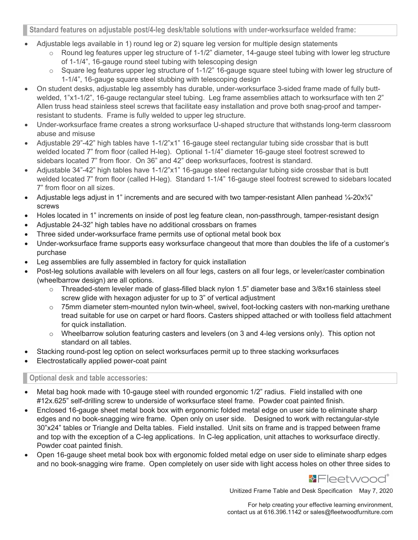## Standard features on adjustable post/4-leg desk/table solutions with under-worksurface welded frame:

- Adjustable legs available in 1) round leg or 2) square leg version for multiple design statements
	- o Round leg features upper leg structure of 1-1/2" diameter, 14-gauge steel tubing with lower leg structure of 1-1/4", 16-gauge round steel tubing with telescoping design
	- $\circ$  Square leg features upper leg structure of 1-1/2" 16-gauge square steel tubing with lower leg structure of 1-1/4", 16-gauge square steel stubbing with telescoping design
- On student desks, adjustable leg assembly has durable, under-worksurface 3-sided frame made of fully buttwelded, 1"x1-1/2", 16-gauge rectangular steel tubing. Leg frame assemblies attach to worksurface with ten 2" Allen truss head stainless steel screws that facilitate easy installation and prove both snag-proof and tamperresistant to students. Frame is fully welded to upper leg structure.
- Under-worksurface frame creates a strong worksurface U-shaped structure that withstands long-term classroom abuse and misuse
- Adjustable 29"-42" high tables have 1-1/2"x1" 16-gauge steel rectangular tubing side crossbar that is butt welded located 7" from floor (called H-leg). Optional 1-1/4" diameter 16-gauge steel footrest screwed to sidebars located 7" from floor. On 36" and 42" deep worksurfaces, footrest is standard.
- Adjustable 34"-42" high tables have 1-1/2"x1" 16-gauge steel rectangular tubing side crossbar that is butt welded located 7" from floor (called H-leg). Standard 1-1/4" 16-gauge steel footrest screwed to sidebars located 7" from floor on all sizes.
- Adjustable legs adjust in 1" increments and are secured with two tamper-resistant Allen panhead 1/4-20x3/4" screws
- Holes located in 1" increments on inside of post leg feature clean, non-passthrough, tamper-resistant design
- Adjustable 24-32" high tables have no additional crossbars on frames
- Three sided under-worksurface frame permits use of optional metal book box
- Under-worksurface frame supports easy worksurface changeout that more than doubles the life of a customer's purchase
- Leg assemblies are fully assembled in factory for quick installation
- Post-leg solutions available with levelers on all four legs, casters on all four legs, or leveler/caster combination (wheelbarrow design) are all options.
	- o Threaded-stem leveler made of glass-filled black nylon 1.5" diameter base and 3/8x16 stainless steel screw glide with hexagon adjuster for up to 3" of vertical adjustment
	- $\circ$  75mm diameter stem-mounted nylon twin-wheel, swivel, foot-locking casters with non-marking urethane tread suitable for use on carpet or hard floors. Casters shipped attached or with toolless field attachment for quick installation.
	- o Wheelbarrow solution featuring casters and levelers (on 3 and 4-leg versions only). This option not standard on all tables.
- Stacking round-post leg option on select worksurfaces permit up to three stacking worksurfaces
- Electrostatically applied power-coat paint

## Optional desk and table accessories:

- Metal bag hook made with 10-gauge steel with rounded ergonomic 1/2" radius. Field installed with one #12x.625" self-drilling screw to underside of worksurface steel frame. Powder coat painted finish.
- Enclosed 16-gauge sheet metal book box with ergonomic folded metal edge on user side to eliminate sharp edges and no book-snagging wire frame. Open only on user side. Designed to work with rectangular-style 30"x24" tables or Triangle and Delta tables. Field installed. Unit sits on frame and is trapped between frame and top with the exception of a C-leg applications. In C-leg application, unit attaches to worksurface directly. Powder coat painted finish.
- Open 16-gauge sheet metal book box with ergonomic folded metal edge on user side to eliminate sharp edges and no book-snagging wire frame. Open completely on user side with light access holes on other three sides to



Unitized Frame Table and Desk Specification May 7, 2020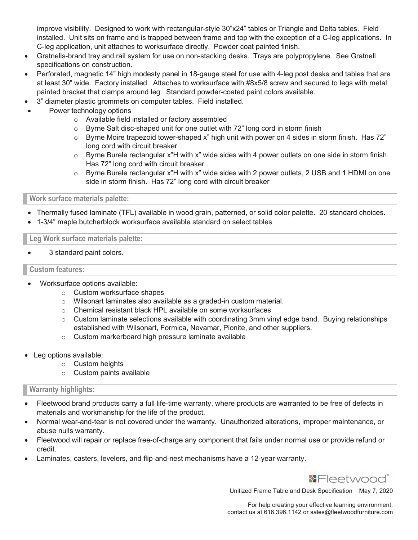improve visibility. Designed to work with rectangular-style 30"x24" tables or Triangle and Delta tables. Field installed. Unit sits on frame and is trapped between frame and top with the exception of a C-leg applications. In C-leg application, unit attaches to worksurface directly. Powder coat painted finish.

- Gratnells-brand tray and rail system for use on non-stacking desks. Trays are polypropylene. See Gratnell specifications on construction.
- Perforated, magnetic 14" high modesty panel in 18-gauge steel for use with 4-leg post desks and tables that are at least 30" wide. Factory installed. Attaches to worksurface with #8x5/8 screw and secured to legs with metal painted bracket that clamps around leg. Standard powder-coated paint colors available.
- 3" diameter plastic grommets on computer tables. Field installed.
- Power technology options
	- o Available field installed or factory assembled
	- o Byrne Salt disc-shaped unit for one outlet with 72" long cord in storm finish
	- $\circ$  Byrne Moire trapezoid tower-shaped x" high unit with power on 4 sides in storm finish. Has 72" long cord with circuit breaker
	- $\circ$  Byrne Burele rectangular x"H with x" wide sides with 4 power outlets on one side in storm finish. Has 72" long cord with circuit breaker
	- $\circ$  Byrne Burele rectangular x"H with x" wide sides with 2 power outlets, 2 USB and 1 HDMI on one side in storm finish. Has 72" long cord with circuit breaker

## Work surface materials palette:

- Thermally fused laminate (TFL) available in wood grain, patterned, or solid color palette. 20 standard choices.
- 1-3/4" maple butcherblock worksurface available standard on select tables

Leg Work surface materials palette:

3 standard paint colors.

## Custom features:

- Worksurface options available:
	- o Custom worksurface shapes
	- o Wilsonart laminates also available as a graded-in custom material.
	- o Chemical resistant black HPL available on some worksurfaces
	- $\circ$  Custom laminate selections available with coordinating 3mm vinyl edge band. Buying relationships established with Wilsonart, Formica, Nevamar, Pionite, and other suppliers.
	- o Custom markerboard high pressure laminate available
- Leg options available:
	- o Custom heights
	- o Custom paints available

## Warranty highlights:

- Fleetwood brand products carry a full life-time warranty, where products are warranted to be free of defects in materials and workmanship for the life of the product.
- Normal wear-and-tear is not covered under the warranty. Unauthorized alterations, improper maintenance, or abuse nulls warranty.
- Fleetwood will repair or replace free-of-charge any component that fails under normal use or provide refund or credit.
- Laminates, casters, levelers, and flip-and-nest mechanisms have a 12-year warranty.



Unitized Frame Table and Desk Specification May 7, 2020